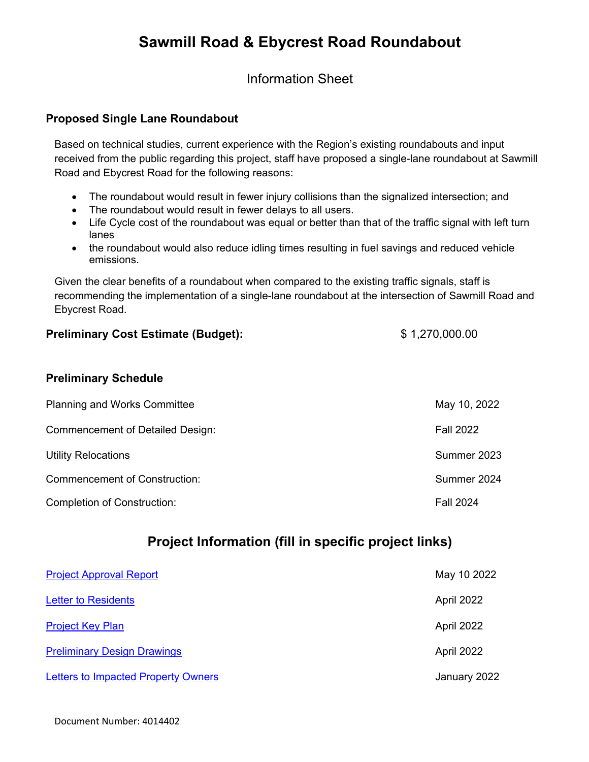# **Sawmill Road & Ebycrest Road Roundabout**

Information Sheet

#### **Proposed Single Lane Roundabout**

Based on technical studies, current experience with the Region's existing roundabouts and input received from the public regarding this project, staff have proposed a single-lane roundabout at Sawmill Road and Ebycrest Road for the following reasons:

- The roundabout would result in fewer injury collisions than the signalized intersection; and
- The roundabout would result in fewer delays to all users.
- Life Cycle cost of the roundabout was equal or better than that of the traffic signal with left turn lanes
- the roundabout would also reduce idling times resulting in fuel savings and reduced vehicle emissions.

Given the clear benefits of a roundabout when compared to the existing traffic signals, staff is recommending the implementation of a single-lane roundabout at the intersection of Sawmill Road and Ebycrest Road.

#### **Preliminary Cost Estimate (Budget):**  $$ 1,270,000.00$

#### **Preliminary Schedule**

| <b>Planning and Works Committee</b>     | May 10, 2022     |
|-----------------------------------------|------------------|
| <b>Commencement of Detailed Design:</b> | <b>Fall 2022</b> |
| <b>Utility Relocations</b>              | Summer 2023      |
| <b>Commencement of Construction:</b>    | Summer 2024      |
| <b>Completion of Construction:</b>      | <b>Fall 2024</b> |

## **Project Information (fill in specific project links)**

| <b>Project Approval Report</b>             | May 10 2022  |
|--------------------------------------------|--------------|
| <b>Letter to Residents</b>                 | April 2022   |
| <b>Project Key Plan</b>                    | April 2022   |
| <b>Preliminary Design Drawings</b>         | April 2022   |
| <b>Letters to Impacted Property Owners</b> | January 2022 |